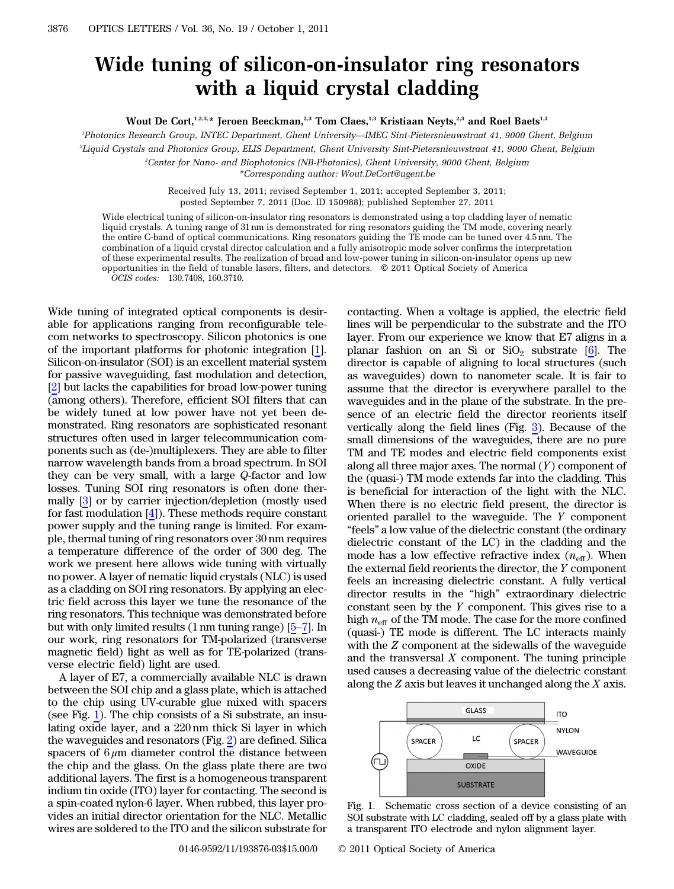## Wide tuning of silicon-on-insulator ring resonators with a liquid crystal cladding

Wout De Cort,<sup>1,2,3,\*</sup> Jeroen Beeckman,<sup>2,3</sup> Tom Claes,<sup>1,3</sup> Kristiaan Neyts,<sup>2,3</sup> and Roel Baets<sup>1,3</sup>

1 Photonics Research Group, INTEC Department, Ghent University*—*IMEC Sint-Pietersnieuwstraat 41, 9000 Ghent, Belgium

2 Liquid Crystals and Photonics Group, ELIS Department, Ghent University Sint-Pietersnieuwstraat 41, 9000 Ghent, Belgium

3 Center for Nano- and Biophotonics (NB-Photonics), Ghent University, 9000 Ghent, Belgium

\*Corresponding author: Wout.DeCort@ugent.be

Received July 13, 2011; revised September 1, 2011; accepted September 3, 2011; posted September 7, 2011 (Doc. ID 150988); published September 27, 2011

Wide electrical tuning of silicon-on-insulator ring resonators is demonstrated using a top cladding layer of nematic liquid crystals. A tuning range of 31 nm is demonstrated for ring resonators guiding the TM mode, covering nearly the entire C-band of optical communications. Ring resonators guiding the TE mode can be tuned over <sup>4</sup>:<sup>5</sup> nm. The combination of a liquid crystal director calculation and a fully anisotropic mode solver confirms the interpretation of these experimental results. The realization of broad and low-power tuning in silicon-on-insulator opens up new opportunities in the field of tunable lasers, filters, and detectors. © 2011 Optical Society of America OCIS codes: 130.7408, 160.3710.

Wide tuning of integrated optical components is desirable for applications ranging from reconfigurable telecom networks to spectroscopy. Silicon photonics is one of the important platforms for photonic integration [\[1](#page-2-0)]. Silicon-on-insulator (SOI) is an excellent material system for passive waveguiding, fast modulation and detection, [\[2](#page-2-1)] but lacks the capabilities for broad low-power tuning (among others). Therefore, efficient SOI filters that can be widely tuned at low power have not yet been demonstrated. Ring resonators are sophisticated resonant structures often used in larger telecommunication components such as (de-)multiplexers. They are able to filter narrow wavelength bands from a broad spectrum. In SOI they can be very small, with a large Q-factor and low losses. Tuning SOI ring resonators is often done thermally [[3\]](#page-2-2) or by carrier injection/depletion (mostly used for fast modulation [\[4](#page-2-3)]). These methods require constant power supply and the tuning range is limited. For example, thermal tuning of ring resonators over 30 nm requires a temperature difference of the order of 300 deg. The work we present here allows wide tuning with virtually no power. A layer of nematic liquid crystals (NLC) is used as a cladding on SOI ring resonators. By applying an electric field across this layer we tune the resonance of the ring resonators. This technique was demonstrated before but with only limited results (<sup>1</sup> nm tuning range) [\[5](#page-2-4)–[7](#page-2-5)]. In our work, ring resonators for TM-polarized (transverse magnetic field) light as well as for TE-polarized (transverse electric field) light are used.

A layer of E7, a commercially available NLC is drawn between the SOI chip and a glass plate, which is attached to the chip using UV-curable glue mixed with spacers (see Fig. [1\)](#page-0-0). The chip consists of a Si substrate, an insulating oxide layer, and a 220 nm thick Si layer in which the waveguides and resonators (Fig. [2](#page-1-0)) are defined. Silica spacers of  $6 \mu m$  diameter control the distance between the chip and the glass. On the glass plate there are two additional layers. The first is a homogeneous transparent indium tin oxide (ITO) layer for contacting. The second is a spin-coated nylon-6 layer. When rubbed, this layer provides an initial director orientation for the NLC. Metallic wires are soldered to the ITO and the silicon substrate for

contacting. When a voltage is applied, the electric field lines will be perpendicular to the substrate and the ITO layer. From our experience we know that E7 aligns in a planar fashion on an Si or  $SiO<sub>2</sub>$  substrate [\[6](#page-2-6)]. The director is capable of aligning to local structures (such as waveguides) down to nanometer scale. It is fair to assume that the director is everywhere parallel to the waveguides and in the plane of the substrate. In the presence of an electric field the director reorients itself vertically along the field lines (Fig. [3\)](#page-1-1). Because of the small dimensions of the waveguides, there are no pure TM and TE modes and electric field components exist along all three major axes. The normal  $(Y)$  component of the (quasi-) TM mode extends far into the cladding. This is beneficial for interaction of the light with the NLC. When there is no electric field present, the director is oriented parallel to the waveguide. The  $Y$  component "feels" a low value of the dielectric constant (the ordinary dielectric constant of the LC) in the cladding and the mode has a low effective refractive index  $(n_{\text{eff}})$ . When the external field reorients the director, the Y component feels an increasing dielectric constant. A fully vertical director results in the "high" extraordinary dielectric constant seen by the Y component. This gives rise to a high  $n_{\text{eff}}$  of the TM mode. The case for the more confined (quasi-) TE mode is different. The LC interacts mainly with the Z component at the sidewalls of the waveguide and the transversal  $X$  component. The tuning principle used causes a decreasing value of the dielectric constant along the  $Z$  axis but leaves it unchanged along the  $X$  axis.

<span id="page-0-0"></span>

Fig. 1. Schematic cross section of a device consisting of an SOI substrate with LC cladding, sealed off by a glass plate with a transparent ITO electrode and nylon alignment layer.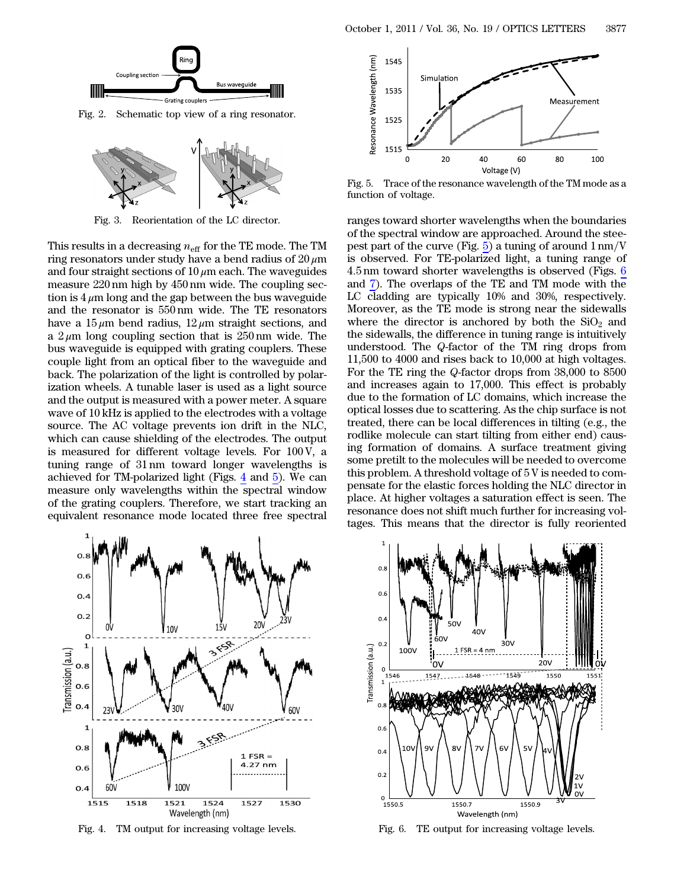<span id="page-1-0"></span>

Fig. 2. Schematic top view of a ring resonator.

<span id="page-1-1"></span>

Fig. 3. Reorientation of the LC director.

This results in a decreasing  $n_{\text{eff}}$  for the TE mode. The TM ring resonators under study have a bend radius of  $20 \mu m$ and four straight sections of  $10 \mu m$  each. The waveguides measure 220 nm high by 450 nm wide. The coupling section is  $4 \mu$ m long and the gap between the bus waveguide and the resonator is 550 nm wide. The TE resonators have a  $15 \mu m$  bend radius,  $12 \mu m$  straight sections, and a  $2 \mu$ m long coupling section that is  $250 \text{ nm}$  wide. The bus waveguide is equipped with grating couplers. These couple light from an optical fiber to the waveguide and back. The polarization of the light is controlled by polarization wheels. A tunable laser is used as a light source and the output is measured with a power meter. A square wave of 10 kHz is applied to the electrodes with a voltage source. The AC voltage prevents ion drift in the NLC, which can cause shielding of the electrodes. The output is measured for different voltage levels. For 100 V, a tuning range of 31 nm toward longer wavelengths is achieved for TM-polarized light (Figs. [4](#page-1-2) and [5](#page-1-3)). We can measure only wavelengths within the spectral window of the grating couplers. Therefore, we start tracking an equivalent resonance mode located three free spectral

<span id="page-1-3"></span>

Fig. 5. Trace of the resonance wavelength of the TM mode as a function of voltage.

ranges toward shorter wavelengths when the boundaries of the spectral window are approached. Around the steepest part of the curve (Fig.  $5$ ) a tuning of around  $1 \text{ nm}/V$ is observed. For TE-polarized light, a tuning range of <sup>4</sup>:<sup>5</sup> nm toward shorter wavelengths is observed (Figs. [6](#page-1-4) and [7\)](#page-2-7). The overlaps of the TE and TM mode with the LC cladding are typically 10% and 30%, respectively. Moreover, as the TE mode is strong near the sidewalls where the director is anchored by both the  $SiO<sub>2</sub>$  and the sidewalls, the difference in tuning range is intuitively understood. The Q-factor of the TM ring drops from 11,500 to 4000 and rises back to 10,000 at high voltages. For the TE ring the Q-factor drops from 38,000 to 8500 and increases again to 17,000. This effect is probably due to the formation of LC domains, which increase the optical losses due to scattering. As the chip surface is not treated, there can be local differences in tilting (e.g., the rodlike molecule can start tilting from either end) causing formation of domains. A surface treatment giving some pretilt to the molecules will be needed to overcome this problem. A threshold voltage of 5 V is needed to compensate for the elastic forces holding the NLC director in place. At higher voltages a saturation effect is seen. The resonance does not shift much further for increasing voltages. This means that the director is fully reoriented

<span id="page-1-2"></span>

Fig. 4. TM output for increasing voltage levels.

<span id="page-1-4"></span>